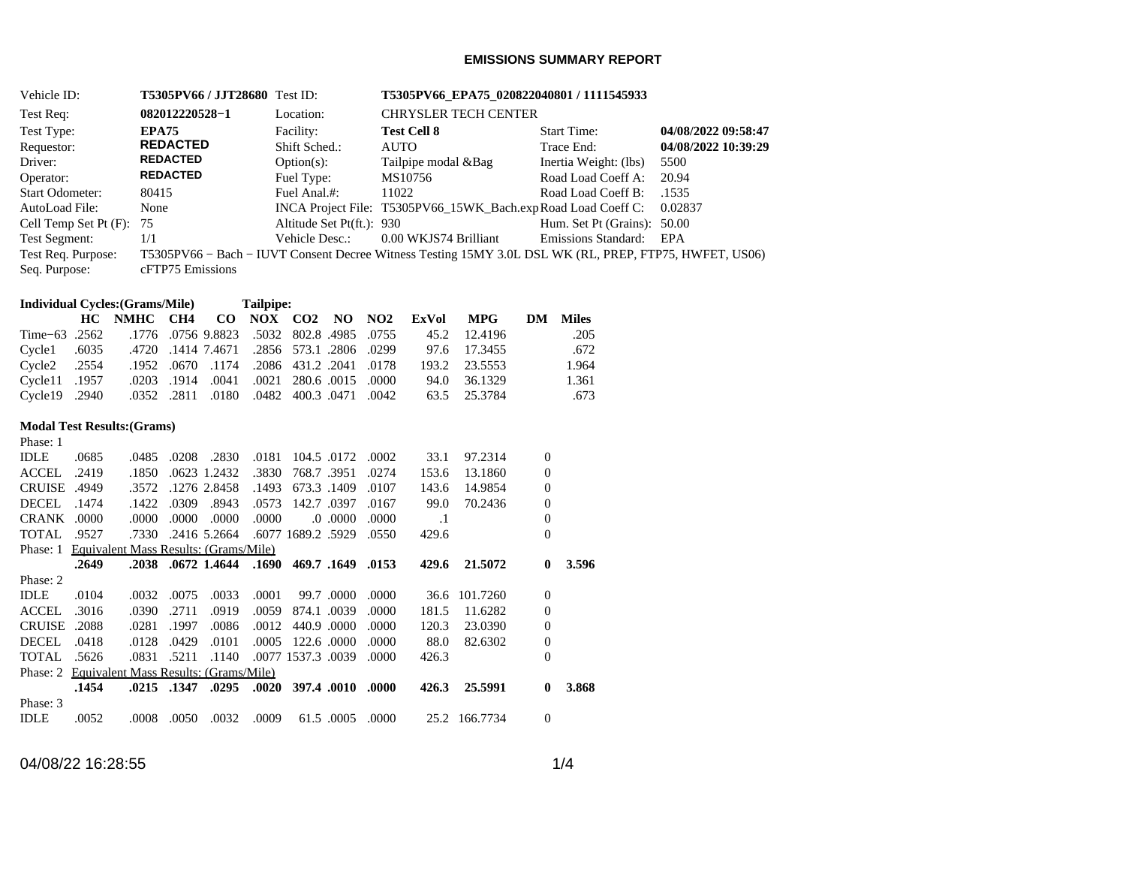### **EMISSIONS SUMMARY REPORT**

| Vehicle ID:                 | <b>T5305PV66 / JJT28680</b> Test ID: |                           | T5305PV66_EPA75_020822040801 / 1111545933                                                              |                             |                     |  |  |
|-----------------------------|--------------------------------------|---------------------------|--------------------------------------------------------------------------------------------------------|-----------------------------|---------------------|--|--|
| Test Req:                   | 082012220528-1                       | Location:                 | <b>CHRYSLER TECH CENTER</b>                                                                            |                             |                     |  |  |
| Test Type:                  | <b>EPA75</b>                         | Facility:                 | <b>Test Cell 8</b>                                                                                     | <b>Start Time:</b>          | 04/08/2022 09:58:47 |  |  |
| Requestor:                  | <b>REDACTED</b>                      | Shift Sched.:             | <b>AUTO</b>                                                                                            | Trace End:                  | 04/08/2022 10:39:29 |  |  |
| Driver:                     | <b>REDACTED</b>                      | $Option(s)$ :             | Tailpipe modal & Bag                                                                                   | Inertia Weight: (lbs)       | 5500                |  |  |
| Operator:                   | <b>REDACTED</b>                      | Fuel Type:                | MS10756                                                                                                | Road Load Coeff A:          | 20.94               |  |  |
| Start Odometer:             | 80415                                | Fuel Anal.#:              | 11022                                                                                                  | Road Load Coeff B:          | .1535               |  |  |
| AutoLoad File:              | None                                 |                           | INCA Project File: T5305PV66_15WK_Bach.expRoad Load Coeff C:                                           |                             | 0.02837             |  |  |
| Cell Temp Set Pt $(F)$ : 75 |                                      | Altitude Set Pt(ft.): 930 |                                                                                                        | Hum. Set Pt (Grains): 50.00 |                     |  |  |
| Test Segment:               | 1/1                                  | Vehicle Desc.:            | 0.00 WKJS74 Brilliant                                                                                  | Emissions Standard:         | EPA                 |  |  |
| Test Req. Purpose:          |                                      |                           | T5305PV66 – Bach – IUVT Consent Decree Witness Testing 15MY 3.0L DSL WK (RL, PREP, FTP75, HWFET, US06) |                             |                     |  |  |
| Seq. Purpose:               | cFTP75 Emissions                     |                           |                                                                                                        |                             |                     |  |  |
|                             |                                      |                           |                                                                                                        |                             |                     |  |  |

| <b>Individual Cycles: (Grams/Mile)</b> |          |                      | Tailpipe: |      |
|----------------------------------------|----------|----------------------|-----------|------|
|                                        | NIN ETTA | $\alpha$ tt $\alpha$ | NIARZ     | - CO |

|               |  |  | HC NMHC CH4 CO NOX CO2 NO NO2 ExVol MPG                            |              |               | DM Miles |
|---------------|--|--|--------------------------------------------------------------------|--------------|---------------|----------|
|               |  |  | 12.4196 198823 1776 1776 198823 5032 802.8 1985 10755 15.2 12.4196 |              |               | .205     |
|               |  |  | .0299. 2806. 2856. 2856. 1411 1.4671. 4720. 6035. Cycle1.          | 97.6 17.3455 |               | .672     |
|               |  |  | 0178. 2041. 2041. 2086. 1174. 0670. 1174. 2086. 2554. Cycle2       |              | 193.2 23.5553 | 1.964    |
|               |  |  | 0000. 0015. 0021 280.6. 0011. 0021 0021. 0021. 1957. Cycle11       |              | 94.0 36.1329  | 1.361    |
| Cycle19 .2940 |  |  | .0352 .2811 .0180 .0482 400.3 .0471 .0352                          |              | 63.5 25.3784  | .673     |

## **Modal Test Results:(Grams)**

| Phase: 1            |                                                |             |            |                    |       |                    |       |           |               |                |       |
|---------------------|------------------------------------------------|-------------|------------|--------------------|-------|--------------------|-------|-----------|---------------|----------------|-------|
| <b>IDLE</b>         | .0685                                          | .0485       | .0208      | .2830              | .0181 | 104.5 .0172        | .0002 | 33.1      | 97.2314       | $\overline{0}$ |       |
| ACCEL               | .2419                                          | .1850       |            | .0623 1.2432       | .3830 | 768.7.3951         | .0274 | 153.6     | 13.1860       | $\overline{0}$ |       |
| <b>CRUISE .4949</b> |                                                | .3572       |            | .1276 2.8458       | .1493 | 673.3 .1409        | .0107 | 143.6     | 14.9854       | $\overline{0}$ |       |
| DECEL               | .1474                                          | .1422       | .0309      | .8943              | .0573 | 142.7 .0397        | .0167 | 99.0      | 70.2436       | $\overline{0}$ |       |
| CRANK .0000         |                                                | .0000       | .0000      | .0000              | .0000 | $.0000$ . 0.       | .0000 | $\cdot$ 1 |               | $\overline{0}$ |       |
| TOTAL               | .9527                                          |             |            | .7330 .2416 5.2664 |       | .6077 1689.2 .5929 | .0550 | 429.6     |               | $\Omega$       |       |
| Phase: 1            | Equivalent Mass Results: (Grams/Mile)          |             |            |                    |       |                    |       |           |               |                |       |
|                     | .2649                                          |             |            | .2038.0672.1.4644  | .1690 | 469.7 .1649 .0153  |       | 429.6     | 21.5072       | $\mathbf{0}$   | 3.596 |
| Phase: 2            |                                                |             |            |                    |       |                    |       |           |               |                |       |
| <b>IDLE</b>         | .0104                                          | .0032       | .0075      | .0033              | .0001 | 99.7.0000          | .0000 | 36.6      | 101.7260      | $\theta$       |       |
| ACCEL.              | .3016                                          | .0390       | .2711      | .0919              | .0059 | 874.1 .0039        | .0000 | 181.5     | 11.6282       | $\overline{0}$ |       |
| <b>CRUISE</b>       | .2088                                          | .0281       | .1997      | .0086              | .0012 | 440.9 .0000        | .0000 | 120.3     | 23.0390       | $\overline{0}$ |       |
| DECEL               | .0418                                          | .0128       | .0429      | .0101              | .0005 | 122.6 .0000        | .0000 | 88.0      | 82.6302       | $\theta$       |       |
| TOTAL               | .5626                                          | .0831 .5211 |            | .1140              |       | .0077 1537.3 .0039 | .0000 | 426.3     |               | $\Omega$       |       |
|                     | Phase: 2 Equivalent Mass Results: (Grams/Mile) |             |            |                    |       |                    |       |           |               |                |       |
|                     | .1454                                          |             |            | .0295. 1347. 0295. | .0020 | 397.4 .0010 .0000  |       | 426.3     | 25.5991       | $\mathbf{0}$   | 3.868 |
| Phase: 3            |                                                |             |            |                    |       |                    |       |           |               |                |       |
| <b>IDLE</b>         | .0052                                          |             | .0008.0050 | .0032              | .0009 | 61.5 .0005 .0000   |       |           | 25.2 166.7734 | $\theta$       |       |

04/08/22 16:28:55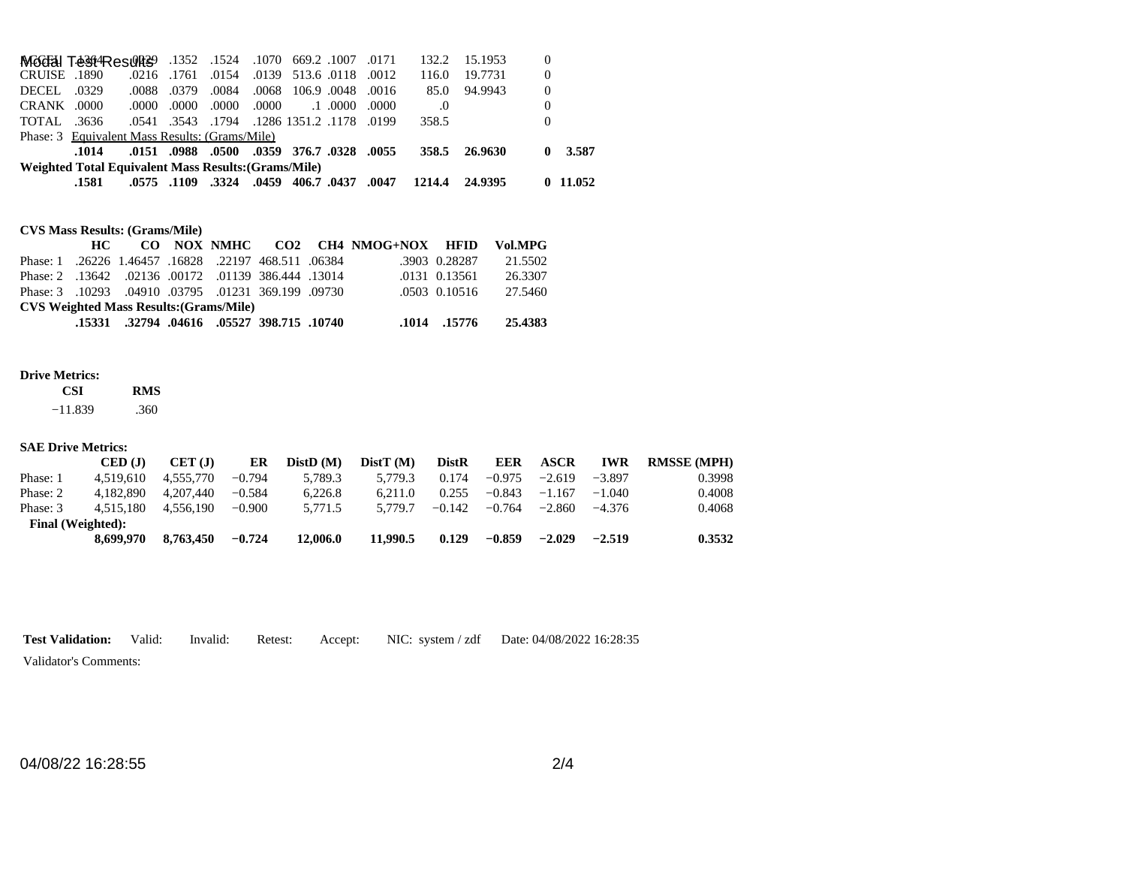|              | .1581                                                |       |               |             |       | , 0437, 0437, 0459, 0459, 0459, 0575, 0575, 0.                 |       | 1214.4 24.9395 |               |                | $0\quad11.052$ |
|--------------|------------------------------------------------------|-------|---------------|-------------|-------|----------------------------------------------------------------|-------|----------------|---------------|----------------|----------------|
|              | Weighted Total Equivalent Mass Results: (Grams/Mile) |       |               |             |       |                                                                |       |                |               |                |                |
|              | .1014                                                |       |               |             |       | .0151 .0988 .0500 .0359 .0576.7 .0328 .0151.                   |       |                | 358.5 26.9630 | 0              | 3.587          |
|              | Phase: 3 Equivalent Mass Results: (Grams/Mile)       |       |               |             |       |                                                                |       |                |               |                |                |
| TOTAL .3636  |                                                      |       |               |             |       | .0199. 1178. 1286. 1286. 1794. 3543. 0541.                     |       | 358.5          |               | 0              |                |
| CRANK .0000  |                                                      | .0000 |               | .0000 .0000 | .0000 | $.1 \, .0000$                                                  | .0000 | .0             |               | $\overline{0}$ |                |
| DECEL .0329  |                                                      | .0088 | .0379         | .0084       |       | .0068 106.9 .0048 .0016                                        |       | 85.0           | 94.9943       | $\theta$       |                |
| CRUISE .1890 |                                                      |       | .0216. .0216. | .0154       |       | .0139 513.6 .0118 .0012                                        |       | 116.0          | 19.7731       | $\theta$       |                |
|              |                                                      |       |               |             |       | 1070 669.2 1007 .0171 1524 .1524 .1070 669.2 .1007 Moddal Test |       | 132.2          | 15.1953       |                |                |

## **CVS Mass Results: (Grams/Mile)**

|                                                     | HC — |  |                                            | CO NOX NMHC CO2 CH4 NMOG+NOX HFID |               | Vol.MPG |
|-----------------------------------------------------|------|--|--------------------------------------------|-----------------------------------|---------------|---------|
| Phase: 1.26226 1.46457 .16828 .22197 468.511 .06384 |      |  |                                            |                                   | .3903 0.28287 | 21.5502 |
| Phase: 2 .13642 .02136 .00172 .01139 386.444 .13014 |      |  |                                            |                                   | .0131 0.13561 | 26.3307 |
| Phase: 3 .10293 .04910 .03795 .01231 369.199 .09730 |      |  |                                            |                                   | .0503 0.10516 | 27.5460 |
| <b>CVS Weighted Mass Results: (Grams/Mile)</b>      |      |  |                                            |                                   |               |         |
|                                                     |      |  | .10740. 15331. 04616. 05527. 15331. 15331. |                                   | .1014. .15776 | 25.4383 |

#### **Drive Metrics:**

| CSI    | <b>RMS</b> |
|--------|------------|
| 11.020 | 200        |

 $-11.839$ .360

#### **SAE Drive Metrics:**

|                   | $\mathbf{CFD}$ (J) | CET (J)   | ER       | DistD(M) | DistT(M) | <b>DistR</b> | <b>EER</b> | <b>ASCR</b> | <b>IWR</b> | <b>RMSSE (MPH)</b> |
|-------------------|--------------------|-----------|----------|----------|----------|--------------|------------|-------------|------------|--------------------|
| Phase: 1          | 4.519.610          | 4.555.770 | $-0.794$ | 5.789.3  | 5.779.3  | 0.174        | $-0.975$   | $-2.619$    | $-3.897$   | 0.3998             |
| Phase: 2          | 4.182.890          | 4.207.440 | $-0.584$ | 6.226.8  | 6.211.0  | 0.255        | $-0.843$   | $-1.167$    | $-1.040$   | 0.4008             |
| Phase: 3          | 4.515.180          | 4.556.190 | $-0.900$ | 5.771.5  | 5.779.7  | $-0.142$     | $-0.764$   | $-2.860$    | $-4.376$   | 0.4068             |
| Final (Weighted): |                    |           |          |          |          |              |            |             |            |                    |
|                   | 8.699.970          | 8.763.450 | $-0.724$ | 12,006.0 | 11.990.5 | 0.129        | $-0.859$   | $-2.029$    | $-2.519$   | 0.3532             |

**Test Validation:** Valid: Invalid: Retest: Accept: NIC: system / zdf Date: 04/08/2022 16:28:35

Validator's Comments:

04/08/22 16:28:55 2/4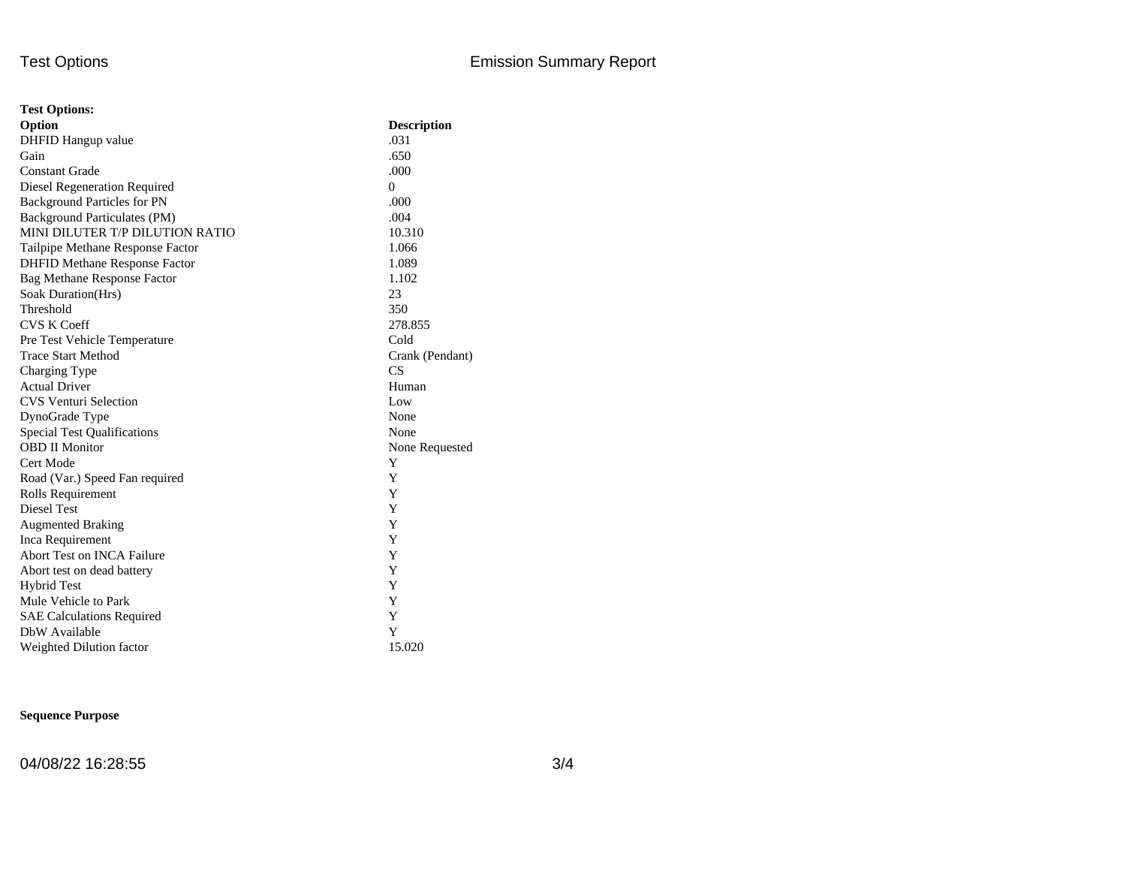| <b>Test Options:</b>                 |                    |
|--------------------------------------|--------------------|
| Option                               | <b>Description</b> |
| DHFID Hangup value                   | .031               |
| Gain                                 | .650               |
| <b>Constant Grade</b>                | .000               |
| Diesel Regeneration Required         | $\Omega$           |
| <b>Background Particles for PN</b>   | .000               |
| Background Particulates (PM)         | .004               |
| MINI DILUTER T/P DILUTION RATIO      | 10.310             |
| Tailpipe Methane Response Factor     | 1.066              |
| <b>DHFID Methane Response Factor</b> | 1.089              |
| <b>Bag Methane Response Factor</b>   | 1.102              |
| Soak Duration(Hrs)                   | 23                 |
| Threshold                            | 350                |
| <b>CVS K Coeff</b>                   | 278.855            |
| Pre Test Vehicle Temperature         | Cold               |
| <b>Trace Start Method</b>            | Crank (Pendant)    |
| Charging Type                        | CS                 |
| <b>Actual Driver</b>                 | Human              |
| <b>CVS Venturi Selection</b>         | Low                |
| DynoGrade Type                       | None               |
| <b>Special Test Qualifications</b>   | None               |
| <b>OBD II Monitor</b>                | None Requested     |
| Cert Mode                            | Y                  |
| Road (Var.) Speed Fan required       | Y                  |
| Rolls Requirement                    | Y                  |
| Diesel Test                          | Y                  |
| <b>Augmented Braking</b>             | Y                  |
| Inca Requirement                     | Y                  |
| Abort Test on INCA Failure           | Y                  |
| Abort test on dead battery           | Y                  |
| <b>Hybrid Test</b>                   | Y                  |
| Mule Vehicle to Park                 | Y                  |
| <b>SAE Calculations Required</b>     | Y                  |
| DbW Available                        | Y                  |
| Weighted Dilution factor             | 15.020             |

## **Sequence Purpose**